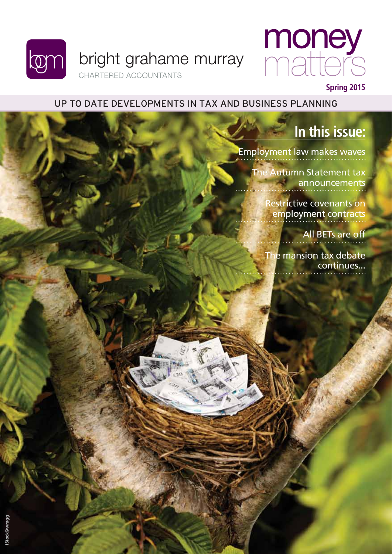



#### Up to date developments in tax and business planning

### **In this issue:**

[Employment law makes waves](#page-1-0)

[The Autumn Statement tax](#page-3-0)  announcements

> [Restrictive covenants on](#page-4-0)  employment contracts

> > [All BETs are off](#page-5-0)

[The mansion tax debate](#page-6-0)  continues...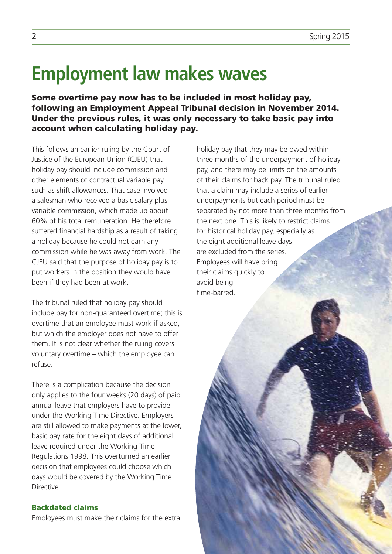# <span id="page-1-0"></span>**Employment law makes waves**

Some overtime pay now has to be included in most holiday pay, following an Employment Appeal Tribunal decision in November 2014. Under the previous rules, it was only necessary to take basic pay into account when calculating holiday pay.

This follows an earlier ruling by the Court of Justice of the European Union (CJEU) that holiday pay should include commission and other elements of contractual variable pay such as shift allowances. That case involved a salesman who received a basic salary plus variable commission, which made up about 60% of his total remuneration. He therefore suffered financial hardship as a result of taking a holiday because he could not earn any commission while he was away from work. The CJEU said that the purpose of holiday pay is to put workers in the position they would have been if they had been at work.

The tribunal ruled that holiday pay should include pay for non-guaranteed overtime; this is overtime that an employee must work if asked, but which the employer does not have to offer them. It is not clear whether the ruling covers voluntary overtime – which the employee can refuse.

There is a complication because the decision only applies to the four weeks (20 days) of paid annual leave that employers have to provide under the Working Time Directive. Employers are still allowed to make payments at the lower, basic pay rate for the eight days of additional leave required under the Working Time Regulations 1998. This overturned an earlier decision that employees could choose which days would be covered by the Working Time Directive.

#### Backdated claims

Employees must make their claims for the extra

holiday pay that they may be owed within three months of the underpayment of holiday pay, and there may be limits on the amounts of their claims for back pay. The tribunal ruled that a claim may include a series of earlier underpayments but each period must be separated by not more than three months from the next one. This is likely to restrict claims for historical holiday pay, especially as the eight additional leave days are excluded from the series. Employees will have bring their claims quickly to avoid being time-barred.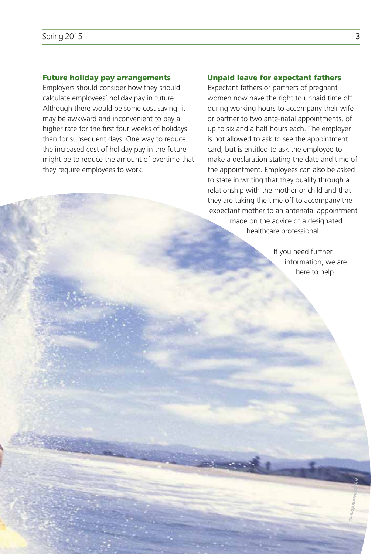#### Future holiday pay arrangements

Employers should consider how they should calculate employees' holiday pay in future. Although there would be some cost saving, it may be awkward and inconvenient to pay a higher rate for the first four weeks of holidays than for subsequent days. One way to reduce the increased cost of holiday pay in the future might be to reduce the amount of overtime that they require employees to work.

#### Unpaid leave for expectant fathers

Expectant fathers or partners of pregnant women now have the right to unpaid time off during working hours to accompany their wife or partner to two ante-natal appointments, of up to six and a half hours each. The employer is not allowed to ask to see the appointment card, but is entitled to ask the employee to make a declaration stating the date and time of the appointment. Employees can also be asked to state in writing that they qualify through a relationship with the mother or child and that they are taking the time off to accompany the expectant mother to an antenatal appointment made on the advice of a designated healthcare professional.

> If you need further information, we are here to help.

> > **Si to**

**mcdonnell**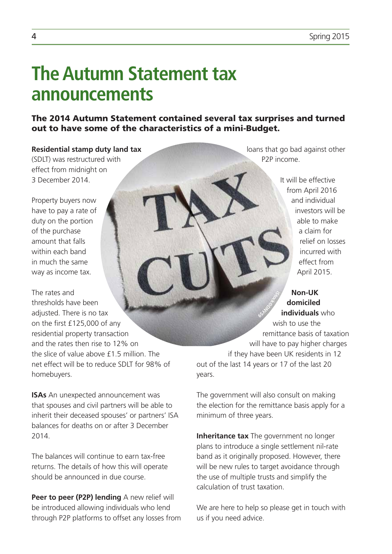## <span id="page-3-0"></span>**The Autumn Statement tax announcements**

The 2014 Autumn Statement contained several tax surprises and turned out to have some of the characteristics of a mini-Budget.

#### **Residential stamp duty land tax**

(SDLT) was restructured with effect from midnight on 3 December 2014.

Property buyers now have to pay a rate of duty on the portion of the purchase amount that falls within each band in much the same way as income tax.

The rates and thresholds have been adjusted. There is no tax on the first £125,000 of any residential property transaction and the rates then rise to 12% on the slice of value above £1.5 million. The net effect will be to reduce SDLT for 98% of homebuyers.

**ISAs** An unexpected announcement was that spouses and civil partners will be able to inherit their deceased spouses' or partners' ISA balances for deaths on or after 3 December 2014.

The balances will continue to earn tax-free returns. The details of how this will operate should be announced in due course.

**Peer to peer (P2P) lending** A new relief will be introduced allowing individuals who lend through P2P platforms to offset any losses from loans that go bad against other P2P income.

> It will be effective from April 2016 and individual investors will be able to make a claim for relief on losses incurred with effect from April 2015.

#### **Non-UK domiciled individuals** who

wish to use the remittance basis of taxation will have to pay higher charges if they have been UK residents in 12 out of the last 14 years or 17 of the last 20 years. **Si tock©DNY59**

The government will also consult on making the election for the remittance basis apply for a minimum of three years.

**Inheritance tax** The government no longer plans to introduce a single settlement nil-rate band as it originally proposed. However, there will be new rules to target avoidance through the use of multiple trusts and simplify the calculation of trust taxation.

We are here to help so please get in touch with us if you need advice.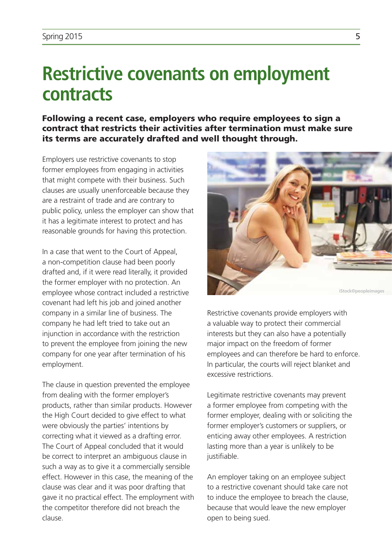## <span id="page-4-0"></span>**Restrictive covenants on employment contracts**

Following a recent case, employers who require employees to sign a contract that restricts their activities after termination must make sure its terms are accurately drafted and well thought through.

Employers use restrictive covenants to stop former employees from engaging in activities that might compete with their business. Such clauses are usually unenforceable because they are a restraint of trade and are contrary to public policy, unless the employer can show that it has a legitimate interest to protect and has reasonable grounds for having this protection.

In a case that went to the Court of Appeal, a non-competition clause had been poorly drafted and, if it were read literally, it provided the former employer with no protection. An employee whose contract included a restrictive covenant had left his job and joined another company in a similar line of business. The company he had left tried to take out an injunction in accordance with the restriction to prevent the employee from joining the new company for one year after termination of his employment.

The clause in question prevented the employee from dealing with the former employer's products, rather than similar products. However the High Court decided to give effect to what were obviously the parties' intentions by correcting what it viewed as a drafting error. The Court of Appeal concluded that it would be correct to interpret an ambiguous clause in such a way as to give it a commercially sensible effect. However in this case, the meaning of the clause was clear and it was poor drafting that gave it no practical effect. The employment with the competitor therefore did not breach the clause.



Restrictive covenants provide employers with a valuable way to protect their commercial interests but they can also have a potentially major impact on the freedom of former employees and can therefore be hard to enforce. In particular, the courts will reject blanket and excessive restrictions.

Legitimate restrictive covenants may prevent a former employee from competing with the former employer, dealing with or soliciting the former employer's customers or suppliers, or enticing away other employees. A restriction lasting more than a year is unlikely to be justifiable.

An employer taking on an employee subject to a restrictive covenant should take care not to induce the employee to breach the clause, because that would leave the new employer open to being sued.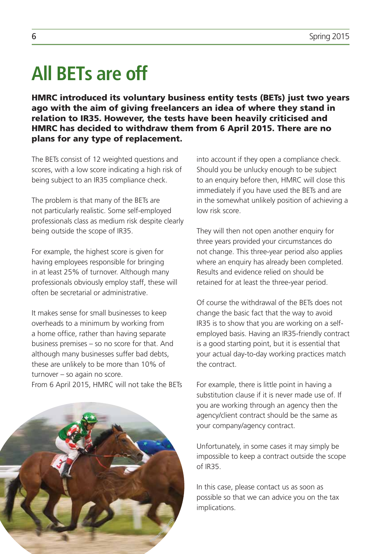# <span id="page-5-0"></span>**All BETs are off**

HMRC introduced its voluntary business entity tests (BETs) just two years ago with the aim of giving freelancers an idea of where they stand in relation to IR35. However, the tests have been heavily criticised and HMRC has decided to withdraw them from 6 April 2015. There are no plans for any type of replacement.

The BETs consist of 12 weighted questions and scores, with a low score indicating a high risk of being subject to an IR35 compliance check.

The problem is that many of the BETs are not particularly realistic. Some self-employed professionals class as medium risk despite clearly being outside the scope of IR35.

For example, the highest score is given for having employees responsible for bringing in at least 25% of turnover. Although many professionals obviously employ staff, these will often be secretarial or administrative.

It makes sense for small businesses to keep overheads to a minimum by working from a home office, rather than having separate business premises – so no score for that. And although many businesses suffer bad debts, these are unlikely to be more than 10% of turnover – so again no score. From 6 April 2015, HMRC will not take the BETs into account if they open a compliance check. Should you be unlucky enough to be subject to an enquiry before then, HMRC will close this immediately if you have used the BETs and are in the somewhat unlikely position of achieving a low risk score.

They will then not open another enquiry for three years provided your circumstances do not change. This three-year period also applies where an enquiry has already been completed. Results and evidence relied on should be retained for at least the three-year period.

Of course the withdrawal of the BETs does not change the basic fact that the way to avoid IR35 is to show that you are working on a selfemployed basis. Having an IR35-friendly contract is a good starting point, but it is essential that your actual day-to-day working practices match the contract.

For example, there is little point in having a substitution clause if it is never made use of. If you are working through an agency then the agency/client contract should be the same as your company/agency contract.

Unfortunately, in some cases it may simply be impossible to keep a contract outside the scope of IR35.

In this case, please contact us as soon as possible so that we can advice you on the tax implications.

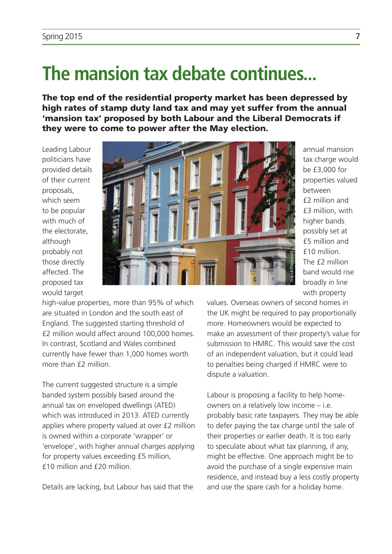## <span id="page-6-0"></span>**The mansion tax debate continues...**

The top end of the residential property market has been depressed by high rates of stamp duty land tax and may yet suffer from the annual 'mansion tax' proposed by both Labour and the Liberal Democrats if they were to come to power after the May election.

Leading Labour politicians have provided details of their current proposals, which seem to be popular with much of the electorate, although probably not those directly affected. The proposed tax would target



annual mansion tax charge would be £3,000 for properties valued between £2 million and £3 million, with higher bands possibly set at £5 million and £10 million. The **f2** million band would rise broadly in line with property

high-value properties, more than 95% of which are situated in London and the south east of England. The suggested starting threshold of £2 million would affect around 100,000 homes. In contrast, Scotland and Wales combined currently have fewer than 1,000 homes worth more than  $f$ 2 million

The current suggested structure is a simple banded system possibly based around the annual tax on enveloped dwellings (ATED) which was introduced in 2013. ATED currently applies where property valued at over £2 million is owned within a corporate 'wrapper' or 'envelope', with higher annual charges applying for property values exceeding £5 million, £10 million and £20 million.

Details are lacking, but Labour has said that the

values. Overseas owners of second homes in the UK might be required to pay proportionally more. Homeowners would be expected to make an assessment of their property's value for submission to HMRC. This would save the cost of an independent valuation, but it could lead to penalties being charged if HMRC were to dispute a valuation.

Labour is proposing a facility to help homeowners on a relatively low income – i.e. probably basic rate taxpayers. They may be able to defer paying the tax charge until the sale of their properties or earlier death. It is too early to speculate about what tax planning, if any, might be effective. One approach might be to avoid the purchase of a single expensive main residence, and instead buy a less costly property and use the spare cash for a holiday home.